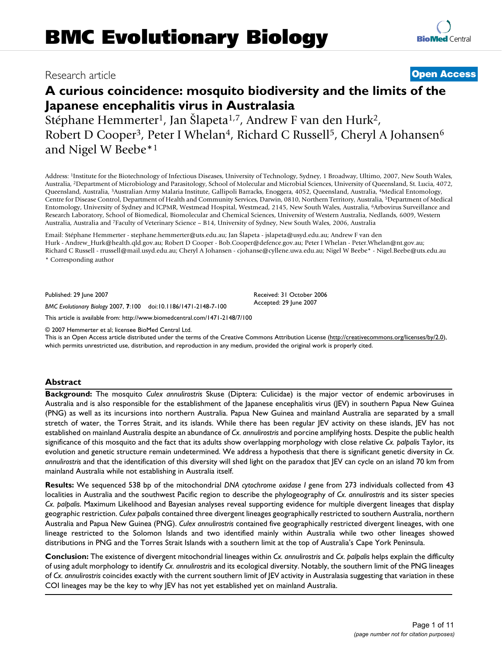# Research article **[Open Access](http://www.biomedcentral.com/info/about/charter/)**

# **A curious coincidence: mosquito biodiversity and the limits of the Japanese encephalitis virus in Australasia**

Stéphane Hemmerter<sup>1</sup>, Jan Šlapeta<sup>1,7</sup>, Andrew F van den Hurk<sup>2</sup>, Robert D Cooper<sup>3</sup>, Peter I Whelan<sup>4</sup>, Richard C Russell<sup>5</sup>, Cheryl A Johansen<sup>6</sup> and Nigel W Beebe\*1

Address: 1Institute for the Biotechnology of Infectious Diseases, University of Technology, Sydney, 1 Broadway, Ultimo, 2007, New South Wales, Australia, 2Department of Microbiology and Parasitology, School of Molecular and Microbial Sciences, University of Queensland, St. Lucia, 4072, Queensland, Australia, 3Australian Army Malaria Institute, Gallipoli Barracks, Enoggera, 4052, Queensland, Australia, 4Medical Entomology, Centre for Disease Control, Department of Health and Community Services, Darwin, 0810, Northern Territory, Australia, 5Department of Medical Entomology, University of Sydney and ICPMR, Westmead Hospital, Westmead, 2145, New South Wales, Australia, 6Arbovirus Surveillance and Research Laboratory, School of Biomedical, Biomolecular and Chemical Sciences, University of Western Australia, Nedlands, 6009, Western Australia, Australia and 7Faculty of Veterinary Science – B14, University of Sydney, New South Wales, 2006, Australia

Email: Stéphane Hemmerter - stephane.hemmerter@uts.edu.au; Jan Šlapeta - jslapeta@usyd.edu.au; Andrew F van den Hurk - Andrew\_Hurk@health.qld.gov.au; Robert D Cooper - Bob.Cooper@defence.gov.au; Peter I Whelan - Peter.Whelan@nt.gov.au; Richard C Russell - rrussell@mail.usyd.edu.au; Cheryl A Johansen - cjohanse@cyllene.uwa.edu.au; Nigel W Beebe\* - Nigel.Beebe@uts.edu.au

\* Corresponding author

Published: 29 June 2007

*BMC Evolutionary Biology* 2007, **7**:100 doi:10.1186/1471-2148-7-100

[This article is available from: http://www.biomedcentral.com/1471-2148/7/100](http://www.biomedcentral.com/1471-2148/7/100)

© 2007 Hemmerter et al; licensee BioMed Central Ltd.

This is an Open Access article distributed under the terms of the Creative Commons Attribution License [\(http://creativecommons.org/licenses/by/2.0\)](http://creativecommons.org/licenses/by/2.0), which permits unrestricted use, distribution, and reproduction in any medium, provided the original work is properly cited.

# **Abstract**

**Background:** The mosquito *Culex annulirostris* Skuse (Diptera: Culicidae) is the major vector of endemic arboviruses in Australia and is also responsible for the establishment of the Japanese encephalitis virus (JEV) in southern Papua New Guinea (PNG) as well as its incursions into northern Australia. Papua New Guinea and mainland Australia are separated by a small stretch of water, the Torres Strait, and its islands. While there has been regular JEV activity on these islands, JEV has not established on mainland Australia despite an abundance of *Cx. annulirostris* and porcine amplifying hosts. Despite the public health significance of this mosquito and the fact that its adults show overlapping morphology with close relative *Cx. palpalis* Taylor, its evolution and genetic structure remain undetermined. We address a hypothesis that there is significant genetic diversity in *Cx. annulirostris* and that the identification of this diversity will shed light on the paradox that JEV can cycle on an island 70 km from mainland Australia while not establishing in Australia itself.

**Results:** We sequenced 538 bp of the mitochondrial *DNA cytochrome oxidase I* gene from 273 individuals collected from 43 localities in Australia and the southwest Pacific region to describe the phylogeography of *Cx. annulirostris* and its sister species *Cx. palpalis*. Maximum Likelihood and Bayesian analyses reveal supporting evidence for multiple divergent lineages that display geographic restriction. *Culex palpalis* contained three divergent lineages geographically restricted to southern Australia, northern Australia and Papua New Guinea (PNG). *Culex annulirostris* contained five geographically restricted divergent lineages, with one lineage restricted to the Solomon Islands and two identified mainly within Australia while two other lineages showed distributions in PNG and the Torres Strait Islands with a southern limit at the top of Australia's Cape York Peninsula.

**Conclusion:** The existence of divergent mitochondrial lineages within *Cx. annulirostris* and *Cx. palpalis* helps explain the difficulty of using adult morphology to identify *Cx. annulirostris* and its ecological diversity. Notably, the southern limit of the PNG lineages of *Cx. annulirostris* coincides exactly with the current southern limit of JEV activity in Australasia suggesting that variation in these COI lineages may be the key to why JEV has not yet established yet on mainland Australia.

Received: 31 October 2006 Accepted: 29 June 2007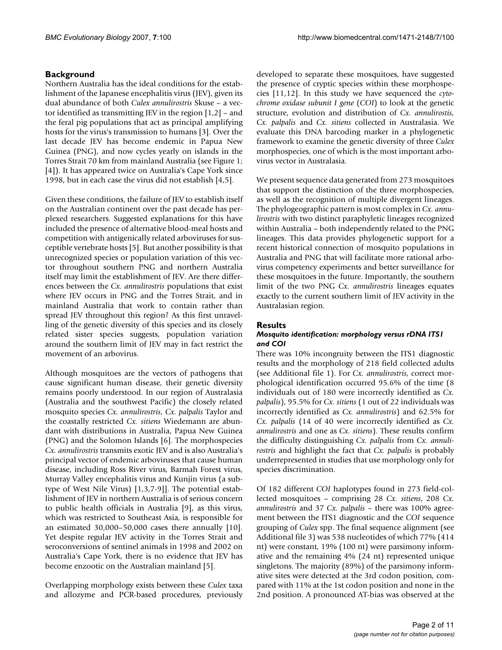# **Background**

Northern Australia has the ideal conditions for the establishment of the Japanese encephalitis virus (JEV), given its dual abundance of both *Culex annulirostris* Skuse – a vector identified as transmitting JEV in the region [1[,2\]](#page-9-0) – and the feral pig populations that act as principal amplifying hosts for the virus's transmission to humans [3]. Over the last decade JEV has become endemic in Papua New Guinea (PNG), and now cycles yearly on islands in the Torres Strait 70 km from mainland Australia (see Figure 1; [4]). It has appeared twice on Australia's Cape York since 1998, but in each case the virus did not establish [4,5].

Given these conditions, the failure of JEV to establish itself on the Australian continent over the past decade has perplexed researchers. Suggested explanations for this have included the presence of alternative blood-meal hosts and competition with antigenically related arboviruses for susceptible vertebrate hosts [5]. But another possibility is that unrecognized species or population variation of this vector throughout southern PNG and northern Australia itself may limit the establishment of JEV. Are there differences between the *Cx. annulirostris* populations that exist where JEV occurs in PNG and the Torres Strait, and in mainland Australia that work to contain rather than spread JEV throughout this region? As this first unravelling of the genetic diversity of this species and its closely related sister species suggests, population variation around the southern limit of JEV may in fact restrict the movement of an arbovirus.

Although mosquitoes are the vectors of pathogens that cause significant human disease, their genetic diversity remains poorly understood. In our region of Australasia (Australia and the southwest Pacific) the closely related mosquito species *Cx. annulirostris*, *Cx. palpalis* Taylor and the coastally restricted *Cx. sitiens* Wiedemann are abundant with distributions in Australia, Papua New Guinea (PNG) and the Solomon Islands [6]. The morphospecies *Cx. annulirostris* transmits exotic JEV and is also Australia's principal vector of endemic arboviruses that cause human disease, including Ross River virus, Barmah Forest virus, Murray Valley encephalitis virus and Kunjin virus (a subtype of West Nile Virus) [1,3,7-9]]. The potential establishment of JEV in northern Australia is of serious concern to public health officials in Australia [9], as this virus, which was restricted to Southeast Asia, is responsible for an estimated 30,000–50,000 cases there annually [10]. Yet despite regular JEV activity in the Torres Strait and seroconversions of sentinel animals in 1998 and 2002 on Australia's Cape York, there is no evidence that JEV has become enzootic on the Australian mainland [5].

Overlapping morphology exists between these *Culex* taxa and allozyme and PCR-based procedures, previously developed to separate these mosquitoes, have suggested the presence of cryptic species within these morphospecies [\[11](#page-10-0)[,12](#page-10-1)]. In this study we have sequenced the *cytochrome oxidase subunit I gene* (*COI*) to look at the genetic structure, evolution and distribution of *Cx. annulirostis, Cx. palpalis* and *Cx. sitiens* collected in Australasia. We evaluate this DNA barcoding marker in a phylogenetic framework to examine the genetic diversity of three *Culex* morphospecies, one of which is the most important arbovirus vector in Australasia.

We present sequence data generated from 273 mosquitoes that support the distinction of the three morphospecies, as well as the recognition of multiple divergent lineages. The phylogeographic pattern is most complex in *Cx. annulirostris* with two distinct paraphyletic lineages recognized within Australia – both independently related to the PNG lineages. This data provides phylogenetic support for a recent historical connection of mosquito populations in Australia and PNG that will facilitate more rational arbovirus competency experiments and better surveillance for these mosquitoes in the future. Importantly, the southern limit of the two PNG *Cx. annulirostris* lineages equates exactly to the current southern limit of JEV activity in the Australasian region.

#### **Results**

#### *Mosquito identification: morphology versus rDNA ITS1 and COI*

There was 10% incongruity between the ITS1 diagnostic results and the morphology of 218 field collected adults (see Additional file 1). For *Cx. annulirostris*, correct morphological identification occurred 95.6% of the time (8 individuals out of 180 were incorrectly identified as *Cx. palpalis*), 95.5% for *Cx. sitiens* (1 out of 22 individuals was incorrectly identified as *Cx. annulirostris*) and 62.5% for *Cx. palpalis* (14 of 40 were incorrectly identified as *Cx. annulirostris* and one as *Cx. sitiens*). These results confirm the difficulty distinguishing *Cx. palpalis* from *Cx. annulirostris* and highlight the fact that *Cx. palpalis* is probably underrepresented in studies that use morphology only for species discrimination.

Of 182 different *COI* haplotypes found in 273 field-collected mosquitoes – comprising 28 *Cx. sitiens*, 208 *Cx. annulirostris* and 37 *Cx. palpalis* – there was 100% agreement between the ITS1 diagnostic and the *COI* sequence grouping of *Culex* spp. The final sequence alignment (see Additional file 3) was 538 nucleotides of which 77% (414 nt) were constant, 19% (100 nt) were parsimony informative and the remaining 4% (24 nt) represented unique singletons. The majority (89%) of the parsimony informative sites were detected at the 3rd codon position, compared with 11% at the 1st codon position and none in the 2nd position. A pronounced AT-bias was observed at the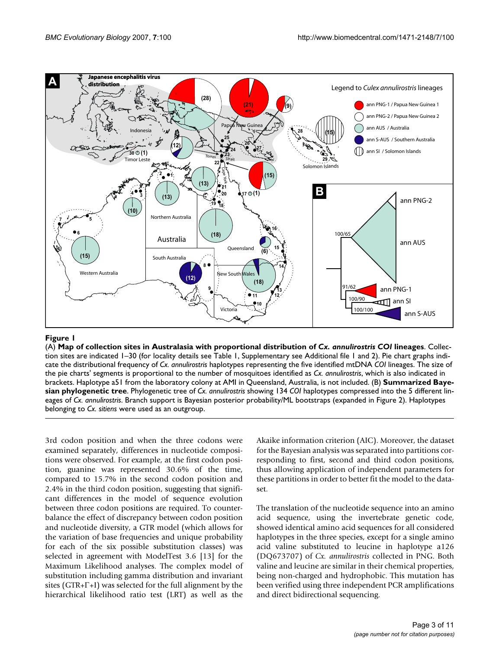

# (A) Map of collection sites in Australa **Figure 1** sia with proportional distribution of *Cx. annulirostris COI* lineages

(A) **Map of collection sites in Australasia with proportional distribution of** *Cx. annulirostris COI* **lineages**. Collection sites are indicated 1–30 (for locality details see Table 1, Supplementary see Additional file 1 and 2). Pie chart graphs indicate the distributional frequency of *Cx. annulirostris* haplotypes representing the five identified mtDNA *COI* lineages. The size of the pie charts' segments is proportional to the number of mosquitoes identified as *Cx. annulirostris*, which is also indicated in brackets. Haplotype a51 from the laboratory colony at AMI in Queensland, Australia, is not included. (B) **Summarized Bayesian phylogenetic tree**. Phylogenetic tree of *Cx. annulirostris* showing 134 *COI* haplotypes compressed into the 5 different lineages of *Cx. annulirostris*. Branch support is Bayesian posterior probability/ML bootstraps (expanded in Figure 2). Haplotypes belonging to *Cx. sitiens* were used as an outgroup.

3rd codon position and when the three codons were examined separately, differences in nucleotide compositions were observed. For example, at the first codon position, guanine was represented 30.6% of the time, compared to 15.7% in the second codon position and 2.4% in the third codon position, suggesting that significant differences in the model of sequence evolution between three codon positions are required. To counterbalance the effect of discrepancy between codon position and nucleotide diversity, a GTR model (which allows for the variation of base frequencies and unique probability for each of the six possible substitution classes) was selected in agreement with ModelTest 3.6 [13] for the Maximum Likelihood analyses. The complex model of substitution including gamma distribution and invariant sites (GTR+Γ+I) was selected for the full alignment by the hierarchical likelihood ratio test (LRT) as well as the Akaike information criterion (AIC). Moreover, the dataset for the Bayesian analysis was separated into partitions corresponding to first, second and third codon positions, thus allowing application of independent parameters for these partitions in order to better fit the model to the dataset.

The translation of the nucleotide sequence into an amino acid sequence, using the invertebrate genetic code, showed identical amino acid sequences for all considered haplotypes in the three species, except for a single amino acid valine substituted to leucine in haplotype a126 (DQ673707) of *Cx. annulirostris* collected in PNG. Both valine and leucine are similar in their chemical properties, being non-charged and hydrophobic. This mutation has been verified using three independent PCR amplifications and direct bidirectional sequencing.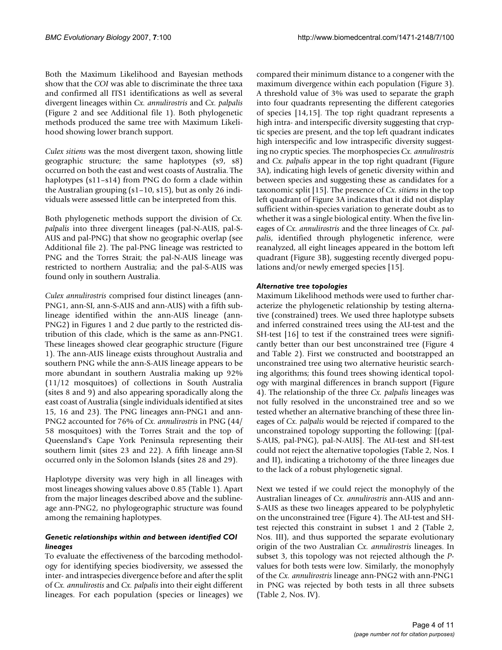Both the Maximum Likelihood and Bayesian methods show that the *COI* was able to discriminate the three taxa and confirmed all ITS1 identifications as well as several divergent lineages within *Cx. annulirostris* and *Cx. palpalis* (Figure 2 and see Additional file 1). Both phylogenetic methods produced the same tree with Maximum Likelihood showing lower branch support.

*Culex sitiens* was the most divergent taxon, showing little geographic structure; the same haplotypes (s9, s8) occurred on both the east and west coasts of Australia. The haplotypes (s11–s14) from PNG do form a clade within the Australian grouping (s1–10, s15), but as only 26 individuals were assessed little can be interpreted from this.

Both phylogenetic methods support the division of *Cx. palpalis* into three divergent lineages (pal-N-AUS, pal-S-AUS and pal-PNG) that show no geographic overlap (see Additional file 2). The pal-PNG lineage was restricted to PNG and the Torres Strait; the pal-N-AUS lineage was restricted to northern Australia; and the pal-S-AUS was found only in southern Australia.

*Culex annulirostris* comprised four distinct lineages (ann-PNG1, ann-SI, ann-S-AUS and ann-AUS) with a fifth sublineage identified within the ann-AUS lineage (ann-PNG2) in Figures 1 and 2 due partly to the restricted distribution of this clade, which is the same as ann-PNG1. These lineages showed clear geographic structure (Figure 1). The ann-AUS lineage exists throughout Australia and southern PNG while the ann-S-AUS lineage appears to be more abundant in southern Australia making up 92% (11/12 mosquitoes) of collections in South Australia (sites 8 and 9) and also appearing sporadically along the east coast of Australia (single individuals identified at sites 15, 16 and 23). The PNG lineages ann-PNG1 and ann-PNG2 accounted for 76% of *Cx. annulirostris* in PNG (44/ 58 mosquitoes) with the Torres Strait and the top of Queensland's Cape York Peninsula representing their southern limit (sites 23 and 22). A fifth lineage ann-SI occurred only in the Solomon Islands (sites 28 and 29).

Haplotype diversity was very high in all lineages with most lineages showing values above 0.85 (Table 1). Apart from the major lineages described above and the sublineage ann-PNG2, no phylogeographic structure was found among the remaining haplotypes.

# *Genetic relationships within and between identified COI lineages*

To evaluate the effectiveness of the barcoding methodology for identifying species biodiversity, we assessed the inter- and intraspecies divergence before and after the split of *Cx. annulirostis* and *Cx. palpalis* into their eight different lineages. For each population (species or lineages) we

compared their minimum distance to a congener with the maximum divergence within each population (Figure 3). A threshold value of 3% was used to separate the graph into four quadrants representing the different categories of species [14,15]. The top right quadrant represents a high intra- and interspecific diversity suggesting that cryptic species are present, and the top left quadrant indicates high interspecific and low intraspecific diversity suggesting no cryptic species. The morphospecies *Cx. annulirostris* and *Cx. palpalis* appear in the top right quadrant (Figure 3A), indicating high levels of genetic diversity within and between species and suggesting these as candidates for a taxonomic split [15]. The presence of *Cx. sitiens* in the top left quadrant of Figure 3A indicates that it did not display sufficient within-species variation to generate doubt as to whether it was a single biological entity. When the five lineages of *Cx. annulirostris* and the three lineages of *Cx. palpalis*, identified through phylogenetic inference, were reanalyzed, all eight lineages appeared in the bottom left quadrant (Figure 3B), suggesting recently diverged populations and/or newly emerged species [15].

# *Alternative tree topologies*

Maximum Likelihood methods were used to further characterize the phylogenetic relationship by testing alternative (constrained) trees. We used three haplotype subsets and inferred constrained trees using the AU-test and the SH-test [16] to test if the constrained trees were significantly better than our best unconstrained tree (Figure 4 and Table 2). First we constructed and bootstrapped an unconstrained tree using two alternative heuristic searching algorithms; this found trees showing identical topology with marginal differences in branch support (Figure 4). The relationship of the three *Cx. palpalis* lineages was not fully resolved in the unconstrained tree and so we tested whether an alternative branching of these three lineages of *Cx. palpalis* would be rejected if compared to the unconstrained topology supporting the following: [(pal-S-AUS, pal-PNG), pal-N-AUS]. The AU-test and SH-test could not reject the alternative topologies (Table 2, Nos. I and II), indicating a trichotomy of the three lineages due to the lack of a robust phylogenetic signal.

Next we tested if we could reject the monophyly of the Australian lineages of *Cx. annulirostris* ann-AUS and ann-S-AUS as these two lineages appeared to be polyphyletic on the unconstrained tree (Figure 4). The AU-test and SHtest rejected this constraint in subset 1 and 2 (Table 2, Nos. III), and thus supported the separate evolutionary origin of the two Australian *Cx. annulirostris* lineages. In subset 3, this topology was not rejected although the *P*values for both tests were low. Similarly, the monophyly of the *Cx. annulirostris* lineage ann-PNG2 with ann-PNG1 in PNG was rejected by both tests in all three subsets (Table 2, Nos. IV).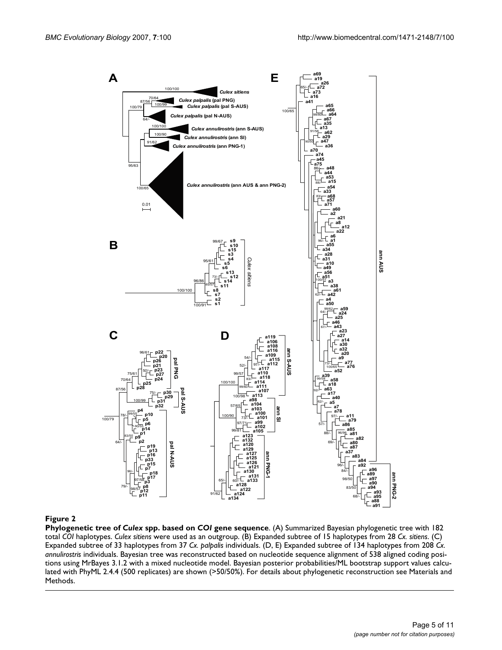

#### **Figure 2**

**Phylogenetic tree of** *Culex* **spp. based on** *COI* **gene sequence**. (A) Summarized Bayesian phylogenetic tree with 182 total *COI* haplotypes. *Culex sitiens* were used as an outgroup. (B) Expanded subtree of 15 haplotypes from 28 *Cx. sitiens*. (C) Expanded subtree of 33 haplotypes from 37 *Cx. palpalis* individuals. (D, E) Expanded subtree of 134 haplotypes from 208 *Cx. annulirostris* individuals. Bayesian tree was reconstructed based on nucleotide sequence alignment of 538 aligned coding positions using MrBayes 3.1.2 with a mixed nucleotide model. Bayesian posterior probabilities/ML bootstrap support values calculated with PhyML 2.4.4 (500 replicates) are shown (>50/50%). For details about phylogenetic reconstruction see Materials and Methods.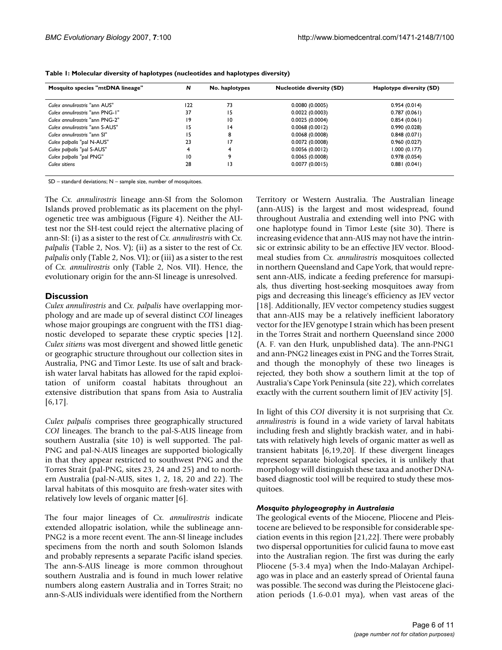| Mosquito species "mtDNA lineage" | N   | No. haplotypes | <b>Nucleotide diversity (SD)</b> | Haplotype diversity (SD) |  |
|----------------------------------|-----|----------------|----------------------------------|--------------------------|--|
| Culex annulirostris "ann AUS"    | 122 | 73             | 0.0080(0.0005)                   | 0.954(0.014)             |  |
| Culex annulirostris "ann PNG-1"  | 37  | 15             | 0.0022(0.0003)                   | 0.787(0.061)             |  |
| Culex annulirostris "ann PNG-2"  | 19  | 10             | 0.0025(0.0004)                   | 0.854(0.061)             |  |
| Culex annulirostris "ann S-AUS"  | 15  | 4              | 0.0068(0.0012)                   | 0.990(0.028)             |  |
| Culex annulirostris "ann SI"     | 15  | 8              | 0.0068(0.0008)                   | 0.848(0.071)             |  |
| Culex palpalis "pal N-AUS"       | 23  | 17             | 0.0072(0.0008)                   | 0.960(0.027)             |  |
| Culex palpalis "pal S-AUS"       | 4   | 4              | 0.0056(0.0012)                   | 1.000(0.177)             |  |
| Culex palpalis "pal PNG"         | 10  | 9              | 0.0065(0.0008)                   | 0.978(0.054)             |  |
| Culex sitiens                    | 28  | 13             | 0.0077(0.0015)                   | 0.881(0.041)             |  |

**Table 1: Molecular diversity of haplotypes (nucleotides and haplotypes diversity)**

 $SD - standard$  deviations;  $N -$  sample size, number of mosquitoes.

The *Cx. annulirostris* lineage ann-SI from the Solomon Islands proved problematic as its placement on the phylogenetic tree was ambiguous (Figure 4). Neither the AUtest nor the SH-test could reject the alternative placing of ann-SI: (i) as a sister to the rest of *Cx. annulirostris* with *Cx. palpalis* (Table 2, Nos. V); (ii) as a sister to the rest of *Cx. palpalis* only (Table 2, Nos. VI); or (iii) as a sister to the rest of *Cx. annulirostris* only (Table 2, Nos. VII). Hence, the evolutionary origin for the ann-SI lineage is unresolved.

# **Discussion**

*Culex annulirostris* and *Cx. palpalis* have overlapping morphology and are made up of several distinct *COI* lineages whose major groupings are congruent with the ITS1 diagnostic developed to separate these cryptic species [\[12](#page-10-1)]. *Culex sitiens* was most divergent and showed little genetic or geographic structure throughout our collection sites in Australia, PNG and Timor Leste. Its use of salt and brackish water larval habitats has allowed for the rapid exploitation of uniform coastal habitats throughout an extensive distribution that spans from Asia to Australia [6,17].

*Culex palpalis* comprises three geographically structured *COI* lineages. The branch to the pal-S-AUS lineage from southern Australia (site 10) is well supported. The pal-PNG and pal-N-AUS lineages are supported biologically in that they appear restricted to southwest PNG and the Torres Strait (pal-PNG, sites 23, 24 and 25) and to northern Australia (pal-N-AUS, sites 1, 2, 18, 20 and 22). The larval habitats of this mosquito are fresh-water sites with relatively low levels of organic matter [6].

The four major lineages of *Cx. annulirostris* indicate extended allopatric isolation, while the sublineage ann-PNG2 is a more recent event. The ann-SI lineage includes specimens from the north and south Solomon Islands and probably represents a separate Pacific island species. The ann-S-AUS lineage is more common throughout southern Australia and is found in much lower relative numbers along eastern Australia and in Torres Strait; no ann-S-AUS individuals were identified from the Northern

Territory or Western Australia. The Australian lineage (ann-AUS) is the largest and most widespread, found throughout Australia and extending well into PNG with one haplotype found in Timor Leste (site 30). There is increasing evidence that ann-AUS may not have the intrinsic or extrinsic ability to be an effective JEV vector. Bloodmeal studies from *Cx. annulirostris* mosquitoes collected in northern Queensland and Cape York, that would represent ann-AUS, indicate a feeding preference for marsupials, thus diverting host-seeking mosquitoes away from pigs and decreasing this lineage's efficiency as JEV vector [18]. Additionally, JEV vector competency studies suggest that ann-AUS may be a relatively inefficient laboratory vector for the JEV genotype I strain which has been present in the Torres Strait and northern Queensland since 2000 (A. F. van den Hurk, unpublished data). The ann-PNG1 and ann-PNG2 lineages exist in PNG and the Torres Strait, and though the monophyly of these two lineages is rejected, they both show a southern limit at the top of Australia's Cape York Peninsula (site 22), which correlates exactly with the current southern limit of JEV activity [5].

In light of this *COI* diversity it is not surprising that *Cx. annulirostris* is found in a wide variety of larval habitats including fresh and slightly brackish water, and in habitats with relatively high levels of organic matter as well as transient habitats [6,19,20]. If these divergent lineages represent separate biological species, it is unlikely that morphology will distinguish these taxa and another DNAbased diagnostic tool will be required to study these mosquitoes.

#### *Mosquito phylogeography in Australasia*

The geological events of the Miocene, Pliocene and Pleistocene are believed to be responsible for considerable speciation events in this region [21,22]. There were probably two dispersal opportunities for culicid fauna to move east into the Australian region. The first was during the early Pliocene (5-3.4 mya) when the Indo-Malayan Archipelago was in place and an easterly spread of Oriental fauna was possible. The second was during the Pleistocene glaciation periods (1.6-0.01 mya), when vast areas of the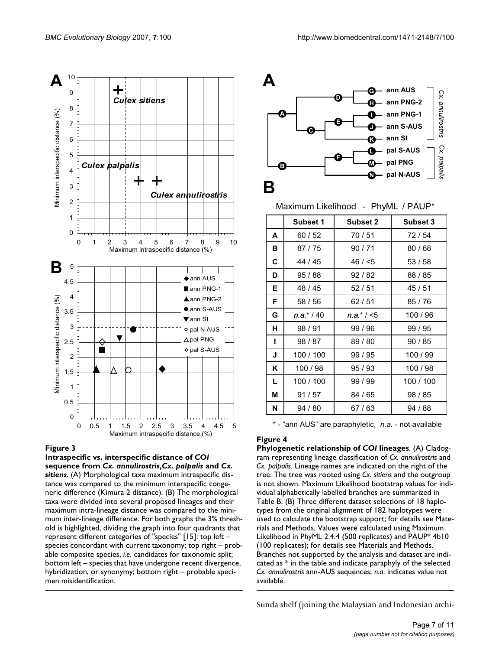

#### **Figure 3**

**Intraspecific vs. interspecific distance of** *COI*  **sequence from** *Cx. annulirostris***,***Cx. palpalis* **and** *Cx. sitiens*. (A) Morphological taxa maximum intraspecific distance was compared to the minimum interspecific congeneric difference (Kimura 2 distance). (B) The morphological taxa were divided into several proposed lineages and their maximum intra-lineage distance was compared to the minimum inter-lineage difference. For both graphs the 3% threshold is highlighted, dividing the graph into four quadrants that represent different categories of "species" [15]: top left – species concordant with current taxonomy; top right – probable composite species, *i.e*. candidates for taxonomic split; bottom left – species that have undergone recent divergence, hybridization, or synonymy; bottom right – probable specimen misidentification.



Maximum Likelihood - PhyML / PAUP\*

|   | Subset 1   | Subset 2     | Subset 3  |
|---|------------|--------------|-----------|
| A | 60/52      | 70/51        | 72/54     |
| в | 87/75      | 90/71        | 80/68     |
| C | 44 / 45    | 46 / $<$ 5   | 53 / 58   |
| D | 95/88      | 92/82        | 88 / 85   |
| Е | 48/45      | 52/51        | 45/51     |
| F | 58 / 56    | 62/51        | 85/76     |
| G | $n.a.*/40$ | $n.a.*$ / <5 | 100 / 96  |
| н | 98/91      | 99 / 96      | 99 / 95   |
| п | 98/87      | 89 / 80      | 90 / 85   |
| J | 100 / 100  | 99 / 95      | 100 / 99  |
| Κ | 100 / 98   | 95 / 93      | 100/98    |
| L | 100 / 100  | 99 / 99      | 100 / 100 |
| М | 91/57      | 84 / 65      | 98 / 85   |
| N | 94/80      | 67/63        | 94 / 88   |

\* - "ann AUS" are paraphyletic, *n.a.* - not available

# **Figure 4**

**Phylogenetic relationship of** *COI* **lineages**. (A) Cladogram representing lineage classification of *Cx. annulirostris* and *Cx. palpalis*. Lineage names are indicated on the right of the tree. The tree was rooted using *Cx. sitiens* and the outgroup is not shown. Maximum Likelihood bootstrap values for individual alphabetically labelled branches are summarized in Table B. (B) Three different dataset selections of 18 haplotypes from the original alignment of 182 haplotypes were used to calculate the bootstrap support; for details see Materials and Methods. Values were calculated using Maximum Likelihood in PhyML 2.4.4 (500 replicates) and PAUP\* 4b10 (100 replicates); for details see Materials and Methods. Branches not supported by the analysis and dataset are indicated as \* in the table and indicate paraphyly of the selected *Cx. annulirostris* ann-AUS sequences; *n.a*. indicates value not available.

Sunda shelf (joining the Malaysian and Indonesian archi-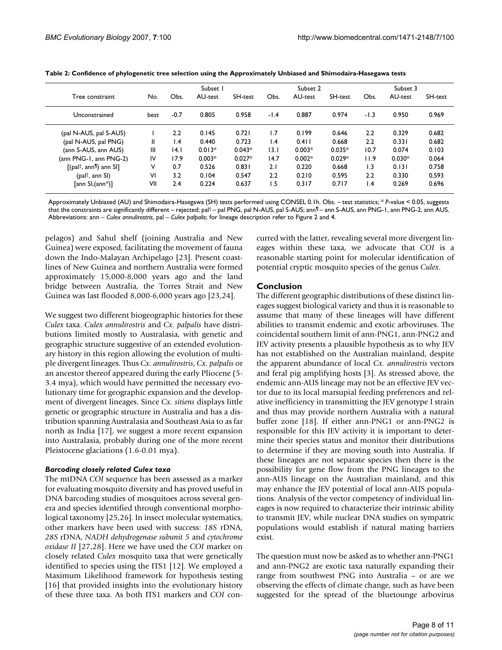| Tree constraint             |      |                 | Subset I |          |                 | Subset 2 |          |        | Subset 3 |         |  |
|-----------------------------|------|-----------------|----------|----------|-----------------|----------|----------|--------|----------|---------|--|
|                             | No.  | Obs.            | AU-test  | SH-test  | Obs.            | AU-test  | SH-test  | Obs.   | AU-test  | SH-test |  |
| Unconstrained               | best | $-0.7$          | 0.805    | 0.958    | $-1.4$          | 0.887    | 0.974    | $-1.3$ | 0.950    | 0.969   |  |
| (pal N-AUS, pal S-AUS)      |      | 2.2             | 0.145    | 0.721    | 1.7             | 0.199    | 0.646    | 2.2    | 0.329    | 0.682   |  |
| (pal N-AUS, pal PNG)        | Ш    | $\mathsf{I}$ .4 | 0.440    | 0.723    | $\mathsf{I}$ .4 | 0.411    | 0.668    | 2.2    | 0.331    | 0.682   |  |
| (ann S-AUS, ann AUS)        | Ш    | 4.1             | $0.013*$ | $0.043*$ | 13. I           | $0.003*$ | $0.035*$ | 10.7   | 0.074    | 0.103   |  |
| (ann PNG-1, ann PNG-2)      | IV   | 17.9            | $0.003*$ | $0.027*$ | 14.7            | $0.002*$ | $0.029*$ | 11.9   | $0.030*$ | 0.064   |  |
| $[(pal†, annth)$ ann SI]    | v    | 0.7             | 0.526    | 0.831    | 2.1             | 0.220    | 0.668    | 1.3    | 0.131    | 0.758   |  |
| (pal <sup>†</sup> , ann SI) | VI   | 3.2             | 0.104    | 0.547    | 2.2             | 0.210    | 0.595    | 2.2    | 0.330    | 0.593   |  |
| [ann SI,(ann*)]             | VII  | 2.4             | 0.224    | 0.637    | 1.5             | 0.317    | 0.717    | 1.4    | 0.269    | 0.696   |  |

**Table 2: Confidence of phylogenetic tree selection using the Approximately Unbiased and Shimodaira-Hasegawa tests**

Approximately Unbiased (AU) and Shimodaira-Hasegawa (SH) tests performed using CONSEL 0.1h. Obs. – test statistics; \* *P*-value < 0.05, suggests that the constraints are significantly different – rejected; pal† – pal PNG, pal N-AUS, pal S-AUS; ann¶ – ann S-AUS, ann PNG-1, ann PNG-2, ann AUS. Abbreviations: ann – *Culex annulirostris*, pal – *Culex palpalis*; for lineage description refer to Figure 2 and 4.

pelagos) and Sahul shelf (joining Australia and New Guinea) were exposed, facilitating the movement of fauna down the Indo-Malayan Archipelago [23]. Present coastlines of New Guinea and northern Australia were formed approximately 15,000-8,000 years ago and the land bridge between Australia, the Torres Strait and New Guinea was last flooded 8,000-6,000 years ago [23,24].

We suggest two different biogeographic histories for these *Culex* taxa. *Culex annulirostris* and *Cx. palpalis* have distributions limited mostly to Australasia, with genetic and geographic structure suggestive of an extended evolutionary history in this region allowing the evolution of multiple divergent lineages. Thus *Cx. annulirostris*, *Cx. palpalis* or an ancestor thereof appeared during the early Pliocene (5- 3.4 mya), which would have permitted the necessary evolutionary time for geographic expansion and the development of divergent lineages. Since *Cx. sitiens* displays little genetic or geographic structure in Australia and has a distribution spanning Australasia and Southeast Asia to as far north as India [17], we suggest a more recent expansion into Australasia, probably during one of the more recent Pleistocene glaciations (1.6-0.01 mya).

#### *Barcoding closely related Culex taxa*

The mtDNA *COI* sequence has been assessed as a marker for evaluating mosquito diversity and has proved useful in DNA barcoding studies of mosquitoes across several genera and species identified through conventional morphological taxonomy [25,26]. In insect molecular systematics, other markers have been used with success: *18S* rDNA, *28S* rDNA, *NADH dehydrogenase subunit 5* and *cytochrome oxidase II* [27,28]. Here we have used the *COI* marker on closely related *Culex* mosquito taxa that were genetically identified to species using the ITS1 [\[12\]](#page-10-1). We employed a Maximum Likelihood framework for hypothesis testing [16] that provided insights into the evolutionary history of these three taxa. As both ITS1 markers and *COI* concurred with the latter, revealing several more divergent lineages within these taxa, we advocate that *COI* is a reasonable starting point for molecular identification of potential cryptic mosquito species of the genus *Culex*.

#### **Conclusion**

The different geographic distributions of these distinct lineages suggest biological variety and thus it is reasonable to assume that many of these lineages will have different abilities to transmit endemic and exotic arboviruses. The coincidental southern limit of ann-PNG1, ann-PNG2 and JEV activity presents a plausible hypothesis as to why JEV has not established on the Australian mainland, despite the apparent abundance of local *Cx. annulirostris* vectors and feral pig amplifying hosts [3]. As stressed above, the endemic ann-AUS lineage may not be an effective JEV vector due to its local marsupial feeding preferences and relative inefficiency in transmitting the JEV genotype I strain and thus may provide northern Australia with a natural buffer zone [18]. If either ann-PNG1 or ann-PNG2 is responsible for this JEV activity it is important to determine their species status and monitor their distributions to determine if they are moving south into Australia. If these lineages are not separate species then there is the possibility for gene flow from the PNG lineages to the ann-AUS lineage on the Australian mainland, and this may enhance the JEV potential of local ann-AUS populations. Analysis of the vector competency of individual lineages is now required to characterize their intrinsic ability to transmit JEV, while nuclear DNA studies on sympatric populations would establish if natural mating barriers exist.

The question must now be asked as to whether ann-PNG1 and ann-PNG2 are exotic taxa naturally expanding their range from southwest PNG into Australia – or are we observing the effects of climate change, such as have been suggested for the spread of the bluetounge arbovirus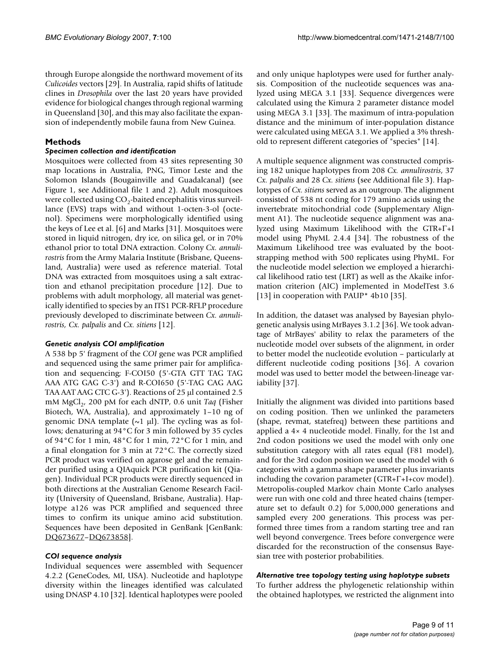through Europe alongside the northward movement of its *Culicoides* vectors [29]. In Australia, rapid shifts of latitude clines in *Drosophila* over the last 20 years have provided evidence for biological changes through regional warming in Queensland [30], and this may also facilitate the expansion of independently mobile fauna from New Guinea.

# **Methods**

# *Specimen collection and identification*

Mosquitoes were collected from 43 sites representing 30 map locations in Australia, PNG, Timor Leste and the Solomon Islands (Bougainville and Guadalcanal) (see Figure 1, see Additional file 1 and 2). Adult mosquitoes were collected using  $CO<sub>2</sub>$ -baited encephalitis virus surveillance (EVS) traps with and without 1-octen-3-ol (octenol). Specimens were morphologically identified using the keys of Lee et al. [6] and Marks [31]. Mosquitoes were stored in liquid nitrogen, dry ice, on silica gel, or in 70% ethanol prior to total DNA extraction. Colony *Cx. annulirostris* from the Army Malaria Institute (Brisbane, Queensland, Australia) were used as reference material. Total DNA was extracted from mosquitoes using a salt extraction and ethanol precipitation procedure [[12\]](#page-10-1). Due to problems with adult morphology, all material was genetically identified to species by an ITS1 PCR-RFLP procedure previously developed to discriminate between *Cx. annulirostris, Cx. palpalis* and *Cx. sitiens* [[12\]](#page-10-1).

# *Genetic analysis COI amplification*

A 538 bp 5' fragment of the *COI* gene was PCR amplified and sequenced using the same primer pair for amplification and sequencing; F-COI50 (5'-GTA GTT TAG TAG AAA ATG GAG C-3') and R-COI650 (5'-TAG CAG AAG TAA AAT AAG CTC G-3'). Reactions of 25 μl contained 2.5 mM MgCl<sub>2</sub>, 200 pM for each dNTP, 0.6 unit *Taq* (Fisher Biotech, WA, Australia), and approximately 1–10 ng of genomic DNA template  $(\sim 1 \mu l)$ . The cycling was as follows; denaturing at 94°C for 3 min followed by 35 cycles of 94°C for 1 min, 48°C for 1 min, 72°C for 1 min, and a final elongation for 3 min at 72°C. The correctly sized PCR product was verified on agarose gel and the remainder purified using a QIAquick PCR purification kit (Qiagen). Individual PCR products were directly sequenced in both directions at the Australian Genome Research Facility (University of Queensland, Brisbane, Australia). Haplotype a126 was PCR amplified and sequenced three times to confirm its unique amino acid substitution. Sequences have been deposited in GenBank [GenBank: [DQ673677](http://www.ncbi.nih.gov/entrez/query.fcgi?db=Nucleotide&cmd=search&term=DQ673677)–[DQ673858](http://www.ncbi.nih.gov/entrez/query.fcgi?db=Nucleotide&cmd=search&term=DQ673858)].

# *COI sequence analysis*

Individual sequences were assembled with Sequencer 4.2.2 (GeneCodes, MI, USA). Nucleotide and haplotype diversity within the lineages identified was calculated using DNASP 4.10 [32]. Identical haplotypes were pooled

and only unique haplotypes were used for further analysis. Composition of the nucleotide sequences was analyzed using MEGA 3.1 [33]. Sequence divergences were calculated using the Kimura 2 parameter distance model using MEGA 3.1 [33]. The maximum of intra-population distance and the minimum of inter-population distance were calculated using MEGA 3.1. We applied a 3% threshold to represent different categories of "species" [14].

A multiple sequence alignment was constructed comprising 182 unique haplotypes from 208 *Cx. annulirostris*, 37 *Cx. palpalis* and 28 *Cx. sitiens* (see Additional file 3). Haplotypes of *Cx. sitiens* served as an outgroup. The alignment consisted of 538 nt coding for 179 amino acids using the invertebrate mitochondrial code (Supplementary Alignment A1). The nucleotide sequence alignment was analyzed using Maximum Likelihood with the GTR+Γ+I model using PhyML 2.4.4 [34]. The robustness of the Maximum Likelihood tree was evaluated by the bootstrapping method with 500 replicates using PhyML. For the nucleotide model selection we employed a hierarchical likelihood ratio test (LRT) as well as the Akaike information criterion (AIC) implemented in ModelTest 3.6 [13] in cooperation with PAUP<sup>\*</sup> 4b10 [35].

In addition, the dataset was analysed by Bayesian phylogenetic analysis using MrBayes 3.1.2 [36]. We took advantage of MrBayes' ability to relax the parameters of the nucleotide model over subsets of the alignment, in order to better model the nucleotide evolution – particularly at different nucleotide coding positions [36]. A covarion model was used to better model the between-lineage variability [37].

Initially the alignment was divided into partitions based on coding position. Then we unlinked the parameters (shape, revmat, statefreq) between these partitions and applied a 4× 4 nucleotide model. Finally, for the 1st and 2nd codon positions we used the model with only one substitution category with all rates equal (F81 model), and for the 3rd codon position we used the model with 6 categories with a gamma shape parameter plus invariants including the covarion parameter (GTR+Γ+I+cov model). Metropolis-coupled Markov chain Monte Carlo analyses were run with one cold and three heated chains (temperature set to default 0.2) for 5,000,000 generations and sampled every 200 generations. This process was performed three times from a random starting tree and ran well beyond convergence. Trees before convergence were discarded for the reconstruction of the consensus Bayesian tree with posterior probabilities.

#### *Alternative tree topology testing using haplotype subsets*

To further address the phylogenetic relationship within the obtained haplotypes, we restricted the alignment into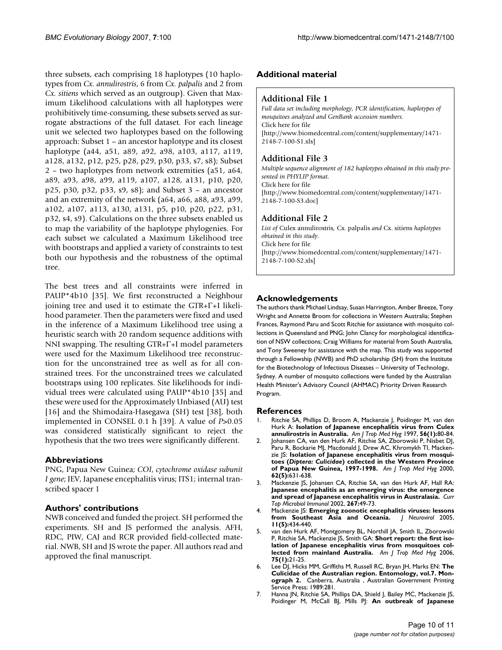three subsets, each comprising 18 haplotypes (10 haplotypes from *Cx. annulirostris*, 6 from *Cx. palpalis* and 2 from *Cx. sitiens* which served as an outgroup). Given that Maximum Likelihood calculations with all haplotypes were prohibitively time-consuming, these subsets served as surrogate abstractions of the full dataset. For each lineage unit we selected two haplotypes based on the following approach: Subset 1 – an ancestor haplotype and its closest haplotype (a44, a51, a89, a92, a98, a103, a117, a119, a128, a132, p12, p25, p28, p29, p30, p33, s7, s8); Subset 2 – two haplotypes from network extremities (a51, a64, a89, a93, a98, a99, a119, a107, a128, a131, p10, p20, p25, p30, p32, p33, s9, s8); and Subset 3 – an ancestor and an extremity of the network (a64, a66, a88, a93, a99, a102, a107, a113, a130, a131, p5, p10, p20, p22, p31, p32, s4, s9). Calculations on the three subsets enabled us to map the variability of the haplotype phylogenies. For each subset we calculated a Maximum Likelihood tree with bootstraps and applied a variety of constraints to test both our hypothesis and the robustness of the optimal tree.

The best trees and all constraints were inferred in PAUP\*4b10 [35]. We first reconstructed a Neighbour joining tree and used it to estimate the GTR+Γ+I likelihood parameter. Then the parameters were fixed and used in the inference of a Maximum Likelihood tree using a heuristic search with 20 random sequence additions with NNI swapping. The resulting GTR+Γ+I model parameters were used for the Maximum Likelihood tree reconstruction for the unconstrained tree as well as for all constrained trees. For the unconstrained trees we calculated bootstraps using 100 replicates. Site likelihoods for individual trees were calculated using PAUP\*4b10 [35] and these were used for the Approximately Unbiased (AU) test [16] and the Shimodaira-Hasegawa (SH) test [38], both implemented in CONSEL 0.1 h [39]. A value of *P*>0.05 was considered statistically significant to reject the hypothesis that the two trees were significantly different.

# **Abbreviations**

PNG, Papua New Guinea; *COI*, *cytochrome oxidase subunit I gene*; JEV, Japanese encephalitis virus; ITS1; internal transcribed spacer 1

# **Authors' contributions**

NWB conceived and funded the project. SH performed the experiments. SH and JS performed the analysis. AFH, RDC, PIW, CAJ and RCR provided field-collected material. NWB, SH and JS wrote the paper. All authors read and approved the final manuscript.

# **Additional material**

#### **Additional File 1**

*Full data set including morphology, PCR identification, haplotypes of mosquitoes analyzed and GenBank accession numbers.* Click here for file [\[http://www.biomedcentral.com/content/supplementary/1471-](http://www.biomedcentral.com/content/supplementary/1471-2148-7-100-S1.xls) 2148-7-100-S1.xls]

# **Additional File 3**

*Multiple sequence alignment of 182 haplotypes obtained in this study presented in PHYLIP format.* Click here for file [\[http://www.biomedcentral.com/content/supplementary/1471-](http://www.biomedcentral.com/content/supplementary/1471-2148-7-100-S3.doc) 2148-7-100-S3.doc]

# **Additional File 2**

*List of* Culex annulirostris*,* Cx. palpalis *and* Cx. sitiens *haplotypes obtained in this study.* Click here for file [\[http://www.biomedcentral.com/content/supplementary/1471-](http://www.biomedcentral.com/content/supplementary/1471-2148-7-100-S2.xls) 2148-7-100-S2.xls]

# **Acknowledgements**

The authors thank Michael Lindsay, Susan Harrington, Amber Breeze, Tony Wright and Annette Broom for collections in Western Australia; Stephen Frances, Raymond Paru and Scott Ritchie for assistance with mosquito collections in Queensland and PNG; John Clancy for morphological identification of NSW collections; Craig Williams for material from South Australia, and Tony Sweeney for assistance with the map. This study was supported through a Fellowship (NWB) and PhD scholarship (SH) from the Institute for the Biotechnology of Infectious Diseases – University of Technology, Sydney. A number of mosquito collections were funded by the Australian Health Minister's Advisory Council (AHMAC) Priority Driven Research Program.

#### **References**

- 1. Ritchie SA, Phillips D, Broom A, Mackenzie J, Poidinger M, van den Hurk A: **[Isolation of Japanese encephalitis virus from Culex](http://www.ncbi.nlm.nih.gov/entrez/query.fcgi?cmd=Retrieve&db=PubMed&dopt=Abstract&list_uids=9063367) [annulirostris in Australia.](http://www.ncbi.nlm.nih.gov/entrez/query.fcgi?cmd=Retrieve&db=PubMed&dopt=Abstract&list_uids=9063367)** *Am J Trop Med Hyg* 1997, **56(1):**80-84.
- <span id="page-9-0"></span>2. Johansen CA, van den Hurk AF, Ritchie SA, Zborowski P, Nisbet DJ, Paru R, Bockarie MJ, Macdonald J, Drew AC, Khromykh TI, Mackenzie JS: **Isolation of Japanese encephalitis virus from mosquitoes (***Diptera: Culicidae***[\) collected in the Western Province](http://www.ncbi.nlm.nih.gov/entrez/query.fcgi?cmd=Retrieve&db=PubMed&dopt=Abstract&list_uids=11289676) [of Papua New Guinea, 1997-1998.](http://www.ncbi.nlm.nih.gov/entrez/query.fcgi?cmd=Retrieve&db=PubMed&dopt=Abstract&list_uids=11289676)** *Am J Trop Med Hyg* 2000, **62(5):**631-638.
- 3. Mackenzie JS, Johansen CA, Ritchie SA, van den Hurk AF, Hall RA: **[Japanese encephalitis as an emerging virus: the emergence](http://www.ncbi.nlm.nih.gov/entrez/query.fcgi?cmd=Retrieve&db=PubMed&dopt=Abstract&list_uids=12083000) [and spread of Japanese encephalitis virus in Australasia.](http://www.ncbi.nlm.nih.gov/entrez/query.fcgi?cmd=Retrieve&db=PubMed&dopt=Abstract&list_uids=12083000)** *Curr Top Microbiol Immunol* 2002, **267:**49-73.
- 4. Mackenzie JS: **[Emerging zoonotic encephalitis viruses: lessons](http://www.ncbi.nlm.nih.gov/entrez/query.fcgi?cmd=Retrieve&db=PubMed&dopt=Abstract&list_uids=16287684) [from Southeast Asia and Oceania.](http://www.ncbi.nlm.nih.gov/entrez/query.fcgi?cmd=Retrieve&db=PubMed&dopt=Abstract&list_uids=16287684)** *J Neurovirol* 2005, **11(5):**434-440.
- 5. van den Hurk AF, Montgomery BL, Northill JA, Smith IL, Zborowski P, Ritchie SA, Mackenzie JS, Smith GA: **[Short report: the first iso](http://www.ncbi.nlm.nih.gov/entrez/query.fcgi?cmd=Retrieve&db=PubMed&dopt=Abstract&list_uids=16837702)[lation of Japanese encephalitis virus from mosquitoes col](http://www.ncbi.nlm.nih.gov/entrez/query.fcgi?cmd=Retrieve&db=PubMed&dopt=Abstract&list_uids=16837702)[lected from mainland Australia.](http://www.ncbi.nlm.nih.gov/entrez/query.fcgi?cmd=Retrieve&db=PubMed&dopt=Abstract&list_uids=16837702)** *Am J Trop Med Hyg* 2006, **75(1):**21-25.
- 6. Lee DJ, Hicks MM, Griffiths M, Russell RC, Bryan JH, Marks EN: **The Culicidae of the Australian region. Entomology, vol.7. Monograph 2.** Canberra, Australia , Australian Government Printing Service Press; 1989:281.
- 7. Hanna JN, Ritchie SA, Phillips DA, Shield J, Bailey MC, Mackenzie JS, Poidinger M, McCall BJ, Mills PJ: **[An outbreak of Japanese](http://www.ncbi.nlm.nih.gov/entrez/query.fcgi?cmd=Retrieve&db=PubMed&dopt=Abstract&list_uids=8816682)**